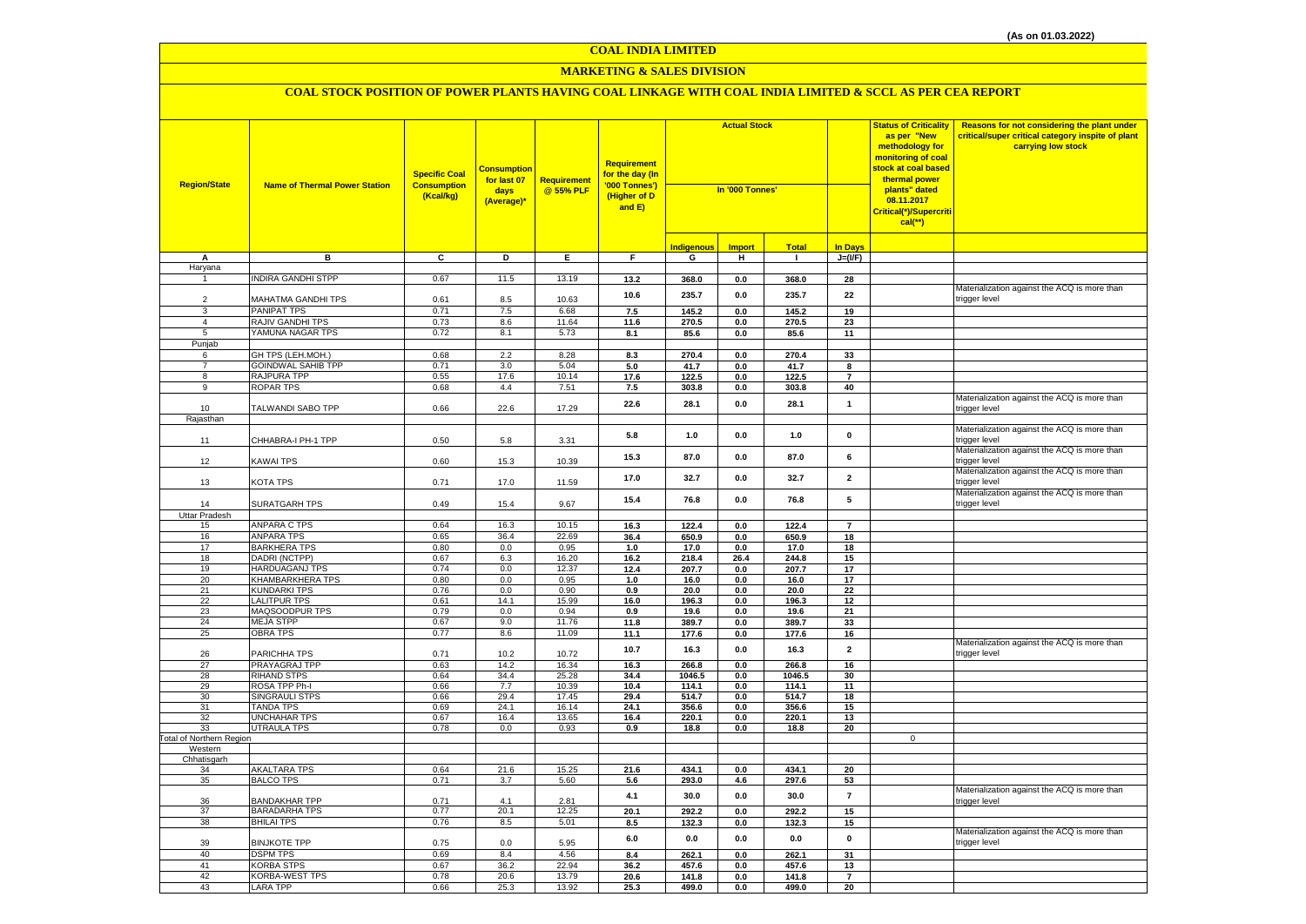#### **MARKETING & SALES DIVISION**

| <b>Region/State</b>             | <b>Name of Thermal Power Station</b> | <b>Specific Coal</b><br><b>Consumption</b><br>(Kcal/kg) | <b>Consumption</b><br>for last 07<br>days<br>(Average)* | Requirement<br>@ 55% PLF | <b>Requirement</b><br>for the day (In<br>'000 Tonnes')<br>(Higher of D<br>and E) | <b>Actual Stock</b><br>In '000 Tonnes' |                |                 |                         | <b>Status of Criticality</b><br>as per "New<br>methodology for<br>monitoring of coal<br>stock at coal based<br>thermal power<br>plants" dated<br>08.11.2017<br><mark>Critical(*)/Supercriti</mark><br>$cal$ (**) | Reasons for not considering the plant under<br>critical/super critical category inspite of plant<br>carrying low stock |
|---------------------------------|--------------------------------------|---------------------------------------------------------|---------------------------------------------------------|--------------------------|----------------------------------------------------------------------------------|----------------------------------------|----------------|-----------------|-------------------------|------------------------------------------------------------------------------------------------------------------------------------------------------------------------------------------------------------------|------------------------------------------------------------------------------------------------------------------------|
|                                 |                                      |                                                         |                                                         |                          |                                                                                  | <b>Indigenous</b>                      | <b>Import</b>  | <b>Total</b>    | <b>In Days</b>          |                                                                                                                                                                                                                  |                                                                                                                        |
| A                               | в                                    | $\overline{c}$                                          | Þ                                                       | E                        | $\overline{F}$                                                                   | G                                      | $\overline{H}$ | $\blacksquare$  | $J=(VF)$                |                                                                                                                                                                                                                  |                                                                                                                        |
| Haryana                         |                                      |                                                         |                                                         |                          |                                                                                  |                                        |                |                 |                         |                                                                                                                                                                                                                  |                                                                                                                        |
|                                 | <b>INDIRA GANDHI STPP</b>            | 0.67                                                    | 11.5                                                    | 13.19                    | 13.2                                                                             | 368.0                                  | 0.0            | 368.0           | 28                      |                                                                                                                                                                                                                  |                                                                                                                        |
|                                 |                                      |                                                         |                                                         |                          | 10.6                                                                             | 235.7                                  | 0.0            | 235.7           | 22                      |                                                                                                                                                                                                                  | Materialization against the ACQ is more than                                                                           |
| $\overline{2}$                  | MAHATMA GANDHI TPS                   | 0.61                                                    | 8.5                                                     | 10.63                    |                                                                                  |                                        |                |                 |                         |                                                                                                                                                                                                                  | trigger level                                                                                                          |
| 3<br>$\overline{4}$             | PANIPAT TPS<br>RAJIV GANDHI TPS      | 0.71<br>0.73                                            | 7.5<br>8.6                                              | 6.68<br>11.64            | 7.5<br>11.6                                                                      | 145.2<br>270.5                         | 0.0<br>0.0     | 145.2<br>270.5  | 19<br>23                |                                                                                                                                                                                                                  |                                                                                                                        |
| 5                               | YAMUNA NAGAR TPS                     | 0.72                                                    | 8.1                                                     | 5.73                     | 8.1                                                                              | 85.6                                   | 0.0            | 85.6            | 11                      |                                                                                                                                                                                                                  |                                                                                                                        |
| Punjab                          |                                      |                                                         |                                                         |                          |                                                                                  |                                        |                |                 |                         |                                                                                                                                                                                                                  |                                                                                                                        |
| 6                               | GH TPS (LEH.MOH.)                    | 0.68                                                    | 2.2                                                     | 8.28                     | 8.3                                                                              | 270.4                                  | 0.0            | 270.4           | 33                      |                                                                                                                                                                                                                  |                                                                                                                        |
| $\overline{7}$                  | <b>GOINDWAL SAHIB TPP</b>            | 0.71                                                    | 3.0                                                     | 5.04                     | 5.0                                                                              | 41.7                                   | 0.0            | 41.7            | 8                       |                                                                                                                                                                                                                  |                                                                                                                        |
| 8                               | RAJPURA TPP                          | 0.55                                                    | 17.6                                                    | 10.14                    | 17.6                                                                             | 122.5                                  | 0.0            | 122.5           | $\overline{7}$          |                                                                                                                                                                                                                  |                                                                                                                        |
| 9                               | <b>ROPAR TPS</b>                     | 0.68                                                    | 4.4                                                     | 7.51                     | 7.5                                                                              | 303.8                                  | $0.0\,$        | 303.8           | 40                      |                                                                                                                                                                                                                  |                                                                                                                        |
| 10                              | TALWANDI SABO TPP                    | 0.66                                                    | 22.6                                                    | 17.29                    | 22.6                                                                             | 28.1                                   | 0.0            | 28.1            | $\mathbf{1}$            |                                                                                                                                                                                                                  | Materialization against the ACQ is more than<br>trigger level                                                          |
| Rajasthan                       |                                      |                                                         |                                                         |                          |                                                                                  |                                        |                |                 |                         |                                                                                                                                                                                                                  |                                                                                                                        |
| 11                              | CHHABRA-I PH-1 TPP                   | 0.50                                                    | 5.8                                                     | 3.31                     | 5.8                                                                              | 1.0                                    | 0.0            | 1.0             | $\mathbf 0$             |                                                                                                                                                                                                                  | Materialization against the ACQ is more than<br>trigger level                                                          |
| 12                              | <b>KAWAI TPS</b>                     | 0.60                                                    | 15.3                                                    | 10.39                    | 15.3                                                                             | 87.0                                   | 0.0            | 87.0            | 6                       |                                                                                                                                                                                                                  | Materialization against the ACQ is more than<br>trigger level                                                          |
| 13                              | KOTA TPS                             | 0.71                                                    | 17.0                                                    | 11.59                    | 17.0                                                                             | 32.7                                   | 0.0            | 32.7            | $\overline{\mathbf{2}}$ |                                                                                                                                                                                                                  | Materialization against the ACQ is more than<br>trigger level                                                          |
| 14                              | <b>SURATGARH TPS</b>                 | 0.49                                                    | 15.4                                                    | 9.67                     | 15.4                                                                             | 76.8                                   | 0.0            | 76.8            | 5                       |                                                                                                                                                                                                                  | Materialization against the ACQ is more than<br>trigger level                                                          |
| Uttar Pradesh                   | <b>ANPARA C TPS</b>                  | 0.64                                                    | 16.3                                                    |                          |                                                                                  |                                        |                |                 |                         |                                                                                                                                                                                                                  |                                                                                                                        |
| 15<br>16                        | <b>ANPARA TPS</b>                    | 0.65                                                    | 36.4                                                    | 10.15<br>22.69           | 16.3<br>36.4                                                                     | 122.4<br>650.9                         | 0.0            | 122.4<br>650.9  | $\overline{7}$          |                                                                                                                                                                                                                  |                                                                                                                        |
| 17                              | <b>BARKHERA TPS</b>                  | 0.80                                                    | 0.0                                                     | 0.95                     | 1.0                                                                              | 17.0                                   | 0.0<br>0.0     | 17.0            | 18<br>18                |                                                                                                                                                                                                                  |                                                                                                                        |
| 18                              | DADRI (NCTPP)                        | 0.67                                                    | 6.3                                                     | 16.20                    | 16.2                                                                             | 218.4                                  | 26.4           | 244.8           | 15                      |                                                                                                                                                                                                                  |                                                                                                                        |
| 19                              | <b>HARDUAGANJ TPS</b>                | 0.74                                                    | 0.0                                                     | 12.37                    | 12.4                                                                             | 207.7                                  | 0.0            | 207.7           | 17                      |                                                                                                                                                                                                                  |                                                                                                                        |
| 20                              | KHAMBARKHERA TPS                     | 0.80                                                    | 0.0                                                     | 0.95                     | 1.0                                                                              | 16.0                                   | 0.0            | 16.0            | 17                      |                                                                                                                                                                                                                  |                                                                                                                        |
| 21                              | <b>KUNDARKI TPS</b>                  | 0.76                                                    | 0.0                                                     | 0.90                     | 0.9                                                                              | 20.0                                   | $0.0\,$        | 20.0            | 22                      |                                                                                                                                                                                                                  |                                                                                                                        |
| 22                              | <b>LALITPUR TPS</b>                  | 0.61                                                    | 14.1                                                    | 15.99                    | 16.0                                                                             | 196.3                                  | 0.0            | 196.3           | 12                      |                                                                                                                                                                                                                  |                                                                                                                        |
| 23                              | MAQSOODPUR TPS                       | 0.79                                                    | 0.0                                                     | 0.94                     | 0.9                                                                              | 19.6                                   | 0.0            | 19.6            | 21                      |                                                                                                                                                                                                                  |                                                                                                                        |
| 24                              | <b>MEJA STPP</b>                     | 0.67                                                    | 9.0                                                     | 11.76                    | 11.8                                                                             | 389.7                                  | 0.0            | 389.7           | 33                      |                                                                                                                                                                                                                  |                                                                                                                        |
| 25                              | <b>OBRA TPS</b>                      | 0.77                                                    | 8.6                                                     | 11.09                    | 11.1                                                                             | 177.6                                  | 0.0            | 177.6           | 16                      |                                                                                                                                                                                                                  |                                                                                                                        |
| 26                              | PARICHHA TPS                         | 0.71                                                    | 10.2                                                    | 10.72                    | 10.7                                                                             | 16.3                                   | 0.0            | 16.3            | $\overline{2}$          |                                                                                                                                                                                                                  | Materialization against the ACQ is more than<br>trigger level                                                          |
| 27                              | PRAYAGRAJ TPP<br><b>RIHAND STPS</b>  | 0.63                                                    | 14.2                                                    | 16.34                    | $16.3$                                                                           | 266.8                                  | 0.0            | 266.8           | 16                      |                                                                                                                                                                                                                  |                                                                                                                        |
| 28<br>29                        | ROSA TPP Ph-I                        | 0.64<br>0.66                                            | 34.4<br>7.7                                             | 25.28<br>10.39           | 34.4<br>10.4                                                                     | 1046.5<br>114.1                        | $0.0\,$<br>0.0 | 1046.5<br>114.1 | 30<br>11                |                                                                                                                                                                                                                  |                                                                                                                        |
| 30                              | <b>SINGRAULI STPS</b>                | 0.66                                                    | 29.4                                                    | 17.45                    | 29.4                                                                             | 514.7                                  | 0.0            | 514.7           | 18                      |                                                                                                                                                                                                                  |                                                                                                                        |
| 31                              | <b>TANDA TPS</b>                     | 0.69                                                    | 24.1                                                    | 16.14                    | 24.1                                                                             | 356.6                                  | 0.0            | 356.6           | 15                      |                                                                                                                                                                                                                  |                                                                                                                        |
| 32                              | <b>UNCHAHAR TPS</b>                  | 0.67                                                    | 16.4                                                    | 13.65                    | 16.4                                                                             | 220.1                                  | 0.0            | 220.1           | 13                      |                                                                                                                                                                                                                  |                                                                                                                        |
| 33                              | <b>UTRAULA TPS</b>                   | 0.78                                                    | 0.0                                                     | 0.93                     | 0.9                                                                              | 18.8                                   | 0.0            | 18.8            | 20                      |                                                                                                                                                                                                                  |                                                                                                                        |
| <b>Total of Northern Region</b> |                                      |                                                         |                                                         |                          |                                                                                  |                                        |                |                 |                         | $\mathsf 0$                                                                                                                                                                                                      |                                                                                                                        |
| Western                         |                                      |                                                         |                                                         |                          |                                                                                  |                                        |                |                 |                         |                                                                                                                                                                                                                  |                                                                                                                        |
| Chhatisgarh<br>34               | <b>AKALTARA TPS</b>                  | 0.64                                                    | 21.6                                                    | 15.25                    | 21.6                                                                             | 434.1                                  | 0.0            | 434.1           | 20                      |                                                                                                                                                                                                                  |                                                                                                                        |
| 35                              | <b>BALCO TPS</b>                     | 0.71                                                    | 3.7                                                     | 5.60                     | 5.6                                                                              | 293.0                                  | 4.6            | 297.6           | 53                      |                                                                                                                                                                                                                  |                                                                                                                        |
| 36                              | <b>BANDAKHAR TPP</b>                 | 0.71                                                    | 4.1                                                     | 2.81                     | 4.1                                                                              | 30.0                                   | 0.0            | 30.0            | $\overline{7}$          |                                                                                                                                                                                                                  | Materialization against the ACQ is more than<br>trigger level                                                          |
| 37                              | <b>BARADARHA TPS</b>                 | 0.77                                                    | 20.1                                                    | 12.25                    | 20.1                                                                             | 292.2                                  | 0.0            | 292.2           | 15                      |                                                                                                                                                                                                                  |                                                                                                                        |
| 38                              | <b>BHILAI TPS</b>                    | 0.76                                                    | 8.5                                                     | 5.01                     | 8.5                                                                              | 132.3                                  | 0.0            | 132.3           | 15                      |                                                                                                                                                                                                                  |                                                                                                                        |
| 39                              | <b>BINJKOTE TPP</b>                  | 0.75                                                    | 0.0                                                     | 5.95                     | $6.0\,$                                                                          | $0.0\,$                                | 0.0            | $0.0\,$         | $\pmb{0}$               |                                                                                                                                                                                                                  | Materialization against the ACQ is more than<br>trigger level                                                          |
| 40                              | <b>DSPM TPS</b>                      | 0.69                                                    | 8.4                                                     | 4.56                     | 8.4                                                                              | 262.1                                  | $0.0\,$        | 262.1           | 31                      |                                                                                                                                                                                                                  |                                                                                                                        |
| 41                              | <b>KORBA STPS</b>                    | 0.67                                                    | 36.2                                                    | 22.94                    | 36.2                                                                             | 457.6                                  | 0.0            | 457.6           | 13                      |                                                                                                                                                                                                                  |                                                                                                                        |
| 42                              | <b>KORBA-WEST TPS</b>                | 0.78                                                    | 20.6                                                    | 13.79                    | 20.6                                                                             | 141.8                                  | 0.0            | 141.8           | $\overline{7}$          |                                                                                                                                                                                                                  |                                                                                                                        |
| 43                              | <b>LARA TPP</b>                      | 0.66                                                    | 25.3                                                    | 13.92                    | 25.3                                                                             | 499.0                                  | 0.0            | 499.0           | 20                      |                                                                                                                                                                                                                  |                                                                                                                        |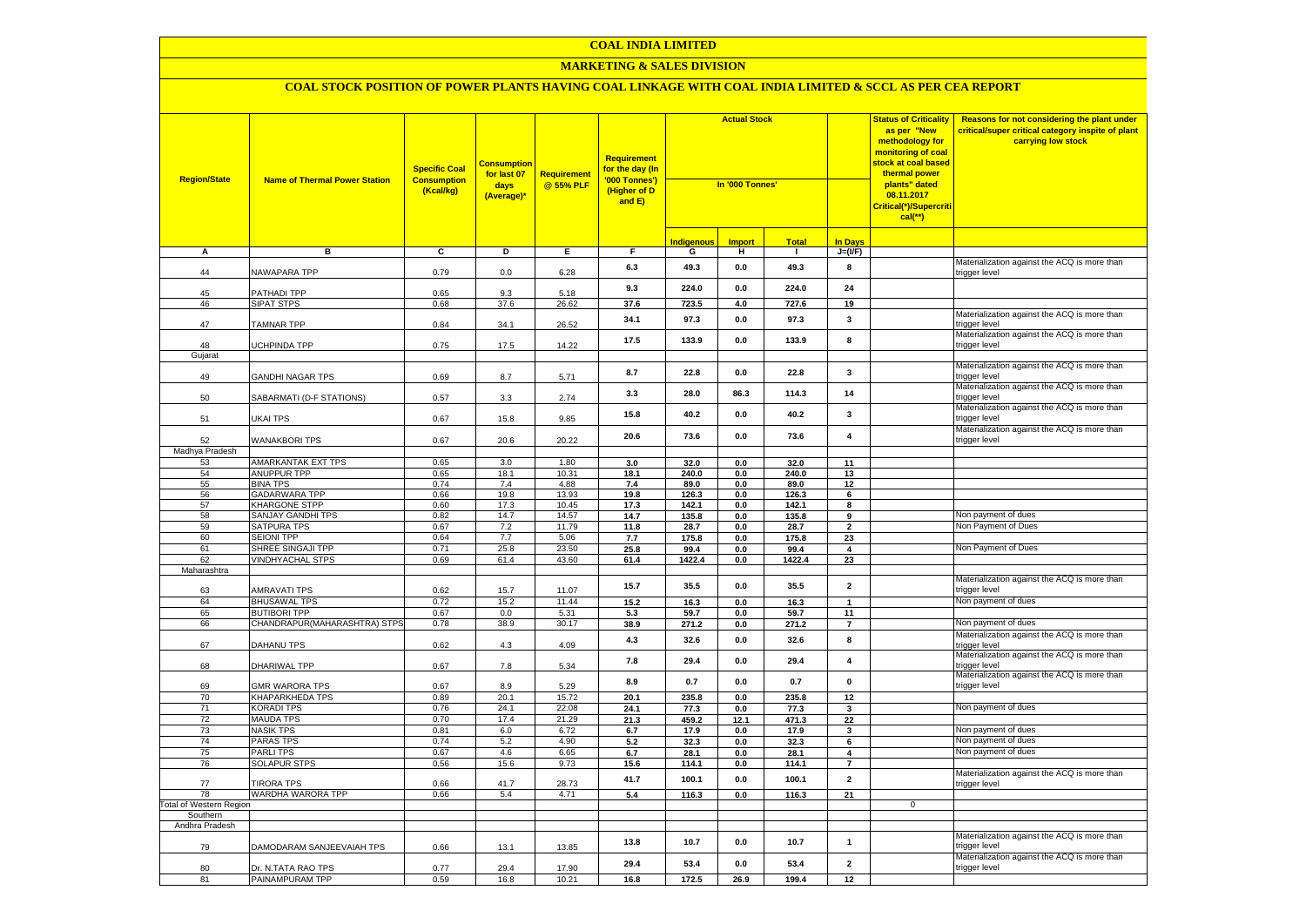#### **MARKETING & SALES DIVISION**

| <b>Region/State</b>     | <b>Name of Thermal Power Station</b>        | <b>Specific Coal</b><br><b>Consumption</b><br>(Kcal/kg) | <b>Consumption</b><br>for last 07<br>days<br>(Average)* | <b>Requirement</b><br>@ 55% PLF | Requirement<br>for the day (In<br>'000 Tonnes')<br>(Higher of D<br>and E) | <b>Actual Stock</b><br>In '000 Tonnes' |                |               | <b>Status of Criticality</b><br>as per "New<br>methodology for<br>monitoring of coal<br><mark>stock at coal based</mark><br>thermal power<br>plants" dated<br>08.11.2017<br><mark>Critical(*)/Supercriti</mark><br>$cal$ (**) |              | Reasons for not considering the plant under<br>critical/super critical category inspite of plant<br>carrying low stock |
|-------------------------|---------------------------------------------|---------------------------------------------------------|---------------------------------------------------------|---------------------------------|---------------------------------------------------------------------------|----------------------------------------|----------------|---------------|-------------------------------------------------------------------------------------------------------------------------------------------------------------------------------------------------------------------------------|--------------|------------------------------------------------------------------------------------------------------------------------|
|                         |                                             |                                                         |                                                         |                                 |                                                                           | <b>Indigenous</b>                      | <b>Import</b>  | <b>Total</b>  | <b>In Davs</b>                                                                                                                                                                                                                |              |                                                                                                                        |
| А                       | в                                           | c                                                       | Þ                                                       | E                               | F                                                                         | G                                      | н              | $\mathbf{I}$  | $J=(VF)$                                                                                                                                                                                                                      |              |                                                                                                                        |
| 44                      | NAWAPARA TPP                                | 0.79                                                    | 0.0                                                     | 6.28                            | 6.3                                                                       | 49.3                                   | $\mathbf{0.0}$ | 49.3          | 8                                                                                                                                                                                                                             |              | Materialization against the ACQ is more than<br>trigger level                                                          |
| 45                      | PATHADI TPP                                 | 0.65                                                    | 9.3                                                     | 5.18                            | 9.3                                                                       | 224.0                                  | 0.0            | 224.0         | 24                                                                                                                                                                                                                            |              |                                                                                                                        |
| 46                      | <b>SIPAT STPS</b>                           | 0.68                                                    | 37.6                                                    | 26.62                           | 37.6                                                                      | 723.5                                  | 4.0            | 727.6         | 19                                                                                                                                                                                                                            |              |                                                                                                                        |
| 47                      | <b>TAMNAR TPP</b>                           | 0.84                                                    | 34.1                                                    | 26.52                           | 34.1                                                                      | 97.3                                   | $\mathbf{0.0}$ | 97.3          | $\mathbf{3}$                                                                                                                                                                                                                  |              | Materialization against the ACQ is more than<br>trigger level                                                          |
| 48                      | UCHPINDA TPP                                | 0.75                                                    | 17.5                                                    | 14.22                           | 17.5                                                                      | 133.9                                  | 0.0            | 133.9         | 8                                                                                                                                                                                                                             |              | Materialization against the ACQ is more than<br>trigger level                                                          |
| Gujarat                 |                                             |                                                         |                                                         |                                 |                                                                           |                                        |                |               |                                                                                                                                                                                                                               |              | Materialization against the ACQ is more than                                                                           |
| 49                      | GANDHI NAGAR TPS                            | 0.69                                                    | 8.7                                                     | 5.71                            | 8.7                                                                       | 22.8                                   | $\mathbf{0.0}$ | 22.8          | $\mathbf{3}$                                                                                                                                                                                                                  |              | trigger level<br>Materialization against the ACQ is more than                                                          |
| 50                      | SABARMATI (D-F STATIONS)                    | 0.57                                                    | 3.3                                                     | 2.74                            | 3.3                                                                       | 28.0                                   | 86.3           | 114.3         | 14                                                                                                                                                                                                                            |              | trigger level                                                                                                          |
| 51                      | UKAI TPS                                    | 0.67                                                    | 15.8                                                    | 9.85                            | 15.8                                                                      | 40.2                                   | 0.0            | 40.2          | 3                                                                                                                                                                                                                             |              | Materialization against the ACQ is more than<br>trigger level                                                          |
| 52                      | <b>WANAKBORI TPS</b>                        | 0.67                                                    | 20.6                                                    | 20.22                           | 20.6                                                                      | 73.6                                   | $\mathbf{0.0}$ | 73.6          | $\overline{\mathbf{4}}$                                                                                                                                                                                                       |              | Materialization against the ACQ is more than<br>trigger level                                                          |
| Madhya Pradesh          |                                             |                                                         |                                                         |                                 |                                                                           |                                        |                |               |                                                                                                                                                                                                                               |              |                                                                                                                        |
| 53                      | <b>AMARKANTAK EXT TPS</b>                   | 0.65                                                    | 3.0                                                     | 1.80                            | 3.0                                                                       | 32.0                                   | 0.0            | 32.0          | 11                                                                                                                                                                                                                            |              |                                                                                                                        |
| 54                      | ANUPPUR TPP                                 | 0.65                                                    | 18.1                                                    | 10.31                           | 18.1                                                                      | 240.0                                  | 0.0            | 240.0         | 13                                                                                                                                                                                                                            |              |                                                                                                                        |
| 55<br>56                | <b>BINA TPS</b><br><b>GADARWARA TPP</b>     | 0.74<br>0.66                                            | 7.4<br>19.8                                             | 4.88<br>13.93                   | 7.4<br>19.8                                                               | 89.0<br>126.3                          | 0.0<br>0.0     | 89.0<br>126.3 | 12<br>6                                                                                                                                                                                                                       |              |                                                                                                                        |
| 57                      | <b>KHARGONE STPP</b>                        | 0.60                                                    | 17.3                                                    | 10.45                           | 17.3                                                                      | 142.1                                  | 0.0            | 142.1         | 8                                                                                                                                                                                                                             |              |                                                                                                                        |
| 58                      | <b>SANJAY GANDHI TPS</b>                    | 0.82                                                    | 14.7                                                    | 14.57                           | 14.7                                                                      | 135.8                                  | 0.0            | 135.8         | 9                                                                                                                                                                                                                             |              | Non payment of dues                                                                                                    |
| 59                      | <b>SATPURA TPS</b>                          | 0.67                                                    | 7.2                                                     | 11.79                           | 11.8                                                                      | 28.7                                   | 0.0            | 28.7          | $\overline{\mathbf{2}}$                                                                                                                                                                                                       |              | Non Payment of Dues                                                                                                    |
| 60                      | <b>SEIONI TPP</b>                           | 0.64                                                    | 7.7                                                     | 5.06                            | 7.7                                                                       | 175.8                                  | 0.0            | 175.8         | 23                                                                                                                                                                                                                            |              |                                                                                                                        |
| 61                      | SHREE SINGAJI TPP                           | 0.71                                                    | 25.8                                                    | 23.50                           | 25.8                                                                      | 99.4                                   | 0.0            | 99.4          | 4                                                                                                                                                                                                                             |              | Non Payment of Dues                                                                                                    |
| 62                      | <b>VINDHYACHAL STPS</b>                     | 0.69                                                    | 61.4                                                    | 43.60                           | 61.4                                                                      | 1422.4                                 | $\mathbf{0.0}$ | 1422.4        | 23                                                                                                                                                                                                                            |              |                                                                                                                        |
| Maharashtra             |                                             |                                                         |                                                         |                                 |                                                                           |                                        |                |               |                                                                                                                                                                                                                               |              |                                                                                                                        |
| 63                      | <b>AMRAVATI TPS</b>                         | 0.62                                                    | 15.7                                                    | 11.07                           | 15.7                                                                      | 35.5                                   | $\mathbf{0.0}$ | 35.5          | $\overline{\mathbf{2}}$                                                                                                                                                                                                       |              | Materialization against the ACQ is more than<br>trigger level                                                          |
| 64                      | <b>BHUSAWAL TPS</b>                         | 0.72                                                    | 15.2                                                    | 11.44                           | 15.2                                                                      | 16.3                                   | 0.0            | 16.3          | $\mathbf{1}$                                                                                                                                                                                                                  |              | Non payment of dues                                                                                                    |
| 65                      | <b>BUTIBORI TPP</b>                         | 0.67                                                    | 0.0                                                     | 5.31                            | 5.3                                                                       | 59.7                                   | 0.0            | 59.7          | 11                                                                                                                                                                                                                            |              |                                                                                                                        |
| 66                      | CHANDRAPUR(MAHARASHTRA) STPS                | 0.78                                                    | 38.9                                                    | 30.17                           | 38.9                                                                      | 271.2                                  | 0.0            | 271.2         | $\overline{7}$                                                                                                                                                                                                                |              | Non payment of dues                                                                                                    |
| 67                      | DAHANU TPS                                  | 0.62                                                    | 4.3                                                     | 4.09                            | 4.3                                                                       | 32.6                                   | 0.0            | 32.6          | 8                                                                                                                                                                                                                             |              | Materialization against the ACQ is more than<br>trigger level                                                          |
| 68                      | DHARIWAL TPP                                | 0.67                                                    | 7.8                                                     | 5.34                            | 7.8                                                                       | 29.4                                   | 0.0            | 29.4          | $\overline{4}$                                                                                                                                                                                                                |              | Materialization against the ACQ is more than<br>trigger level                                                          |
| 69                      | <b>GMR WARORA TPS</b>                       | 0.67                                                    | 8.9                                                     | 5.29                            | 8.9                                                                       | 0.7                                    | 0.0            | 0.7           | 0                                                                                                                                                                                                                             |              | Materialization against the ACQ is more than<br>trigger level                                                          |
| 70<br>71                | <b>KHAPARKHEDA TPS</b><br><b>KORADI TPS</b> | 0.89<br>0.76                                            | 20.1<br>24.1                                            | 15.72<br>22.08                  | 20.1                                                                      | 235.8                                  | 0.0            | 235.8         | 12<br>3                                                                                                                                                                                                                       |              | Non payment of dues                                                                                                    |
| 72                      | <b>MAUDA TPS</b>                            | 0.70                                                    | 17.4                                                    | 21.29                           | 24.1<br>21.3                                                              | 77.3<br>459.2                          | 0.0<br>12.1    | 77.3<br>471.3 | 22                                                                                                                                                                                                                            |              |                                                                                                                        |
| 73                      | <b>NASIK TPS</b>                            | 0.81                                                    | 6.0                                                     | 6.72                            | 6.7                                                                       | 17.9                                   | $\mathbf{0.0}$ | 17.9          | 3                                                                                                                                                                                                                             |              | Non payment of dues                                                                                                    |
| 74                      | <b>PARAS TPS</b>                            | 0.74                                                    | 5.2                                                     | 4.90                            | 5.2                                                                       | 32.3                                   | 0.0            | 32.3          | 6                                                                                                                                                                                                                             |              | Non payment of dues                                                                                                    |
| 75                      | <b>PARLITPS</b>                             | 0.67                                                    | 4.6                                                     | 6.65                            | 6.7                                                                       | 28.1                                   | 0.0            | 28.1          | 4                                                                                                                                                                                                                             |              | Non payment of dues                                                                                                    |
| 76                      | <b>SOLAPUR STPS</b>                         | 0.56                                                    | 15.6                                                    | 9.73                            | 15.6                                                                      | 114.1                                  | 0.0            | 114.1         | $\overline{7}$                                                                                                                                                                                                                |              |                                                                                                                        |
| 77                      | <b>TIRORA TPS</b>                           | 0.66                                                    | 41.7                                                    | 28.73                           | 41.7                                                                      | 100.1                                  | 0.0            | 100.1         | $\overline{\mathbf{2}}$                                                                                                                                                                                                       |              | Materialization against the ACQ is more than<br>trigger level                                                          |
| 78                      | WARDHA WARORA TPP                           | 0.66                                                    | 5.4                                                     | 4.71                            | 5.4                                                                       | 116.3                                  | 0.0            | 116.3         | 21                                                                                                                                                                                                                            |              |                                                                                                                        |
| Total of Western Region |                                             |                                                         |                                                         |                                 |                                                                           |                                        |                |               |                                                                                                                                                                                                                               | $\mathbf{0}$ |                                                                                                                        |
| Southern                |                                             |                                                         |                                                         |                                 |                                                                           |                                        |                |               |                                                                                                                                                                                                                               |              |                                                                                                                        |
| Andhra Pradesh          |                                             |                                                         |                                                         |                                 |                                                                           |                                        |                |               |                                                                                                                                                                                                                               |              | Materialization against the ACQ is more than                                                                           |
| 79                      | DAMODARAM SANJEEVAIAH TPS                   | 0.66                                                    | 13.1                                                    | 13.85                           | 13.8                                                                      | 10.7                                   | $\mathbf{0.0}$ | 10.7          | $\mathbf{1}$                                                                                                                                                                                                                  |              | trigger level<br>Materialization against the ACQ is more than                                                          |
| 80                      | Dr. N.TATA RAO TPS                          | 0.77                                                    | 29.4                                                    | 17.90                           | 29.4                                                                      | 53.4                                   | 0.0            | 53.4          | $\overline{\mathbf{2}}$                                                                                                                                                                                                       |              | trigger level                                                                                                          |
| 81                      | PAINAMPURAM TPP                             | 0.59                                                    | 16.8                                                    | 10.21                           | 16.8                                                                      | 172.5                                  | 26.9           | 199.4         | 12                                                                                                                                                                                                                            |              |                                                                                                                        |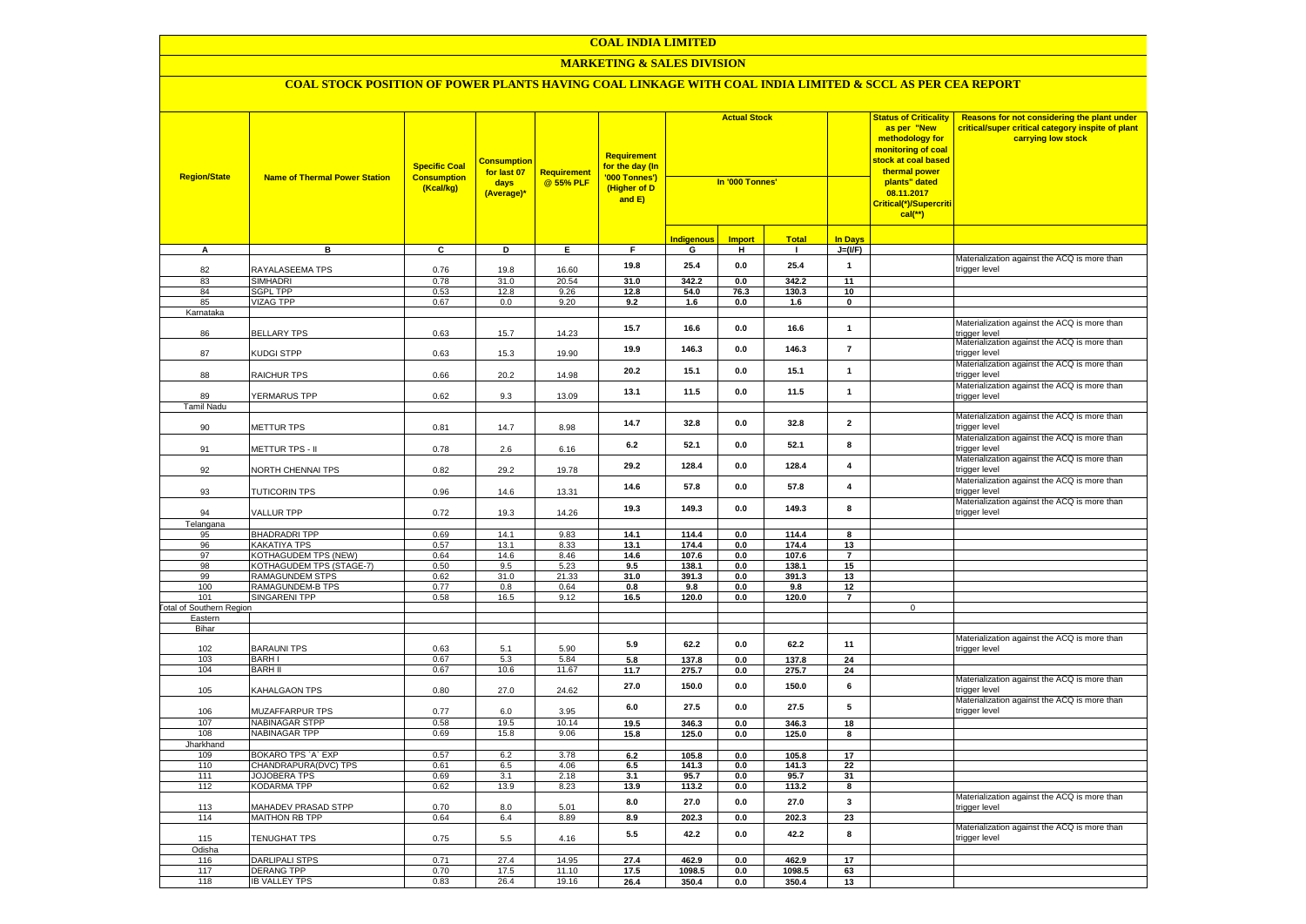#### **MARKETING & SALES DIVISION**

| <b>Region/State</b>             | <b>Name of Thermal Power Station</b>         | <b>Specific Coal</b><br><b>Consumption</b><br>(Kcal/kg) | <b>Consumption</b><br>for last 07<br>days<br>(Average)* | <b>Requirement</b><br>@ 55% PLF | <b>Requirement</b><br>for the day (In<br>'000 Tonnes')<br>(Higher of D<br>and E) | <b>Actual Stock</b><br>In '000 Tonnes' |                | 08.11.2017<br>$cal$ (**) |                         | <b>Status of Criticality</b><br>as per "New<br>methodology for<br>monitoring of coal<br><mark>stock at coal based</mark><br>thermal power<br>plants" dated<br>Critical(*)/Supercriti | Reasons for not considering the plant under<br>critical/super critical category inspite of plant<br>carrying low stock |
|---------------------------------|----------------------------------------------|---------------------------------------------------------|---------------------------------------------------------|---------------------------------|----------------------------------------------------------------------------------|----------------------------------------|----------------|--------------------------|-------------------------|--------------------------------------------------------------------------------------------------------------------------------------------------------------------------------------|------------------------------------------------------------------------------------------------------------------------|
|                                 |                                              |                                                         |                                                         |                                 |                                                                                  | Indigenous                             | <b>Import</b>  | <b>Total</b>             | <b>In Days</b>          |                                                                                                                                                                                      |                                                                                                                        |
| A                               | в                                            | C                                                       | D                                                       | Е.                              | F.                                                                               | G                                      | н              | $\mathbf{L}$             | $J=(VF)$                |                                                                                                                                                                                      |                                                                                                                        |
| 82                              | RAYALASEEMA TPS                              | 0.76                                                    | 19.8                                                    | 16.60                           | 19.8                                                                             | 25.4                                   | 0.0            | 25.4                     | $\mathbf{1}$            |                                                                                                                                                                                      | Materialization against the ACQ is more than<br>trigger level                                                          |
| 83                              | <b>SIMHADRI</b>                              | 0.78                                                    | 31.0                                                    | 20.54                           | 31.0                                                                             | 342.2                                  | 0.0            | 342.2                    | 11                      |                                                                                                                                                                                      |                                                                                                                        |
| 84                              | <b>SGPL TPP</b>                              | 0.53                                                    | 12.8                                                    | 9.26                            | 12.8                                                                             | 54.0                                   | 76.3           | 130.3                    | 10                      |                                                                                                                                                                                      |                                                                                                                        |
| 85                              | VIZAG TPP                                    | 0.67                                                    | 0.0                                                     | 9.20                            | 9.2                                                                              | 1.6                                    | 0.0            | 1.6                      | $\mathbf 0$             |                                                                                                                                                                                      |                                                                                                                        |
| Karnataka<br>86                 | <b>BELLARY TPS</b>                           | 0.63                                                    | 15.7                                                    | 14.23                           | 15.7                                                                             | 16.6                                   | $0.0\,$        | 16.6                     | $\mathbf{1}$            |                                                                                                                                                                                      | Materialization against the ACQ is more than<br>trigger level                                                          |
| 87                              | KUDGI STPP                                   | 0.63                                                    | 15.3                                                    | 19.90                           | 19.9                                                                             | 146.3                                  | 0.0            | 146.3                    | $\overline{7}$          |                                                                                                                                                                                      | Materialization against the ACQ is more than<br>trigger level                                                          |
| 88                              | RAICHUR TPS                                  | 0.66                                                    | 20.2                                                    | 14.98                           | 20.2                                                                             | 15.1                                   | 0.0            | 15.1                     | $\mathbf{1}$            |                                                                                                                                                                                      | Materialization against the ACQ is more than<br>trigger level                                                          |
| 89                              | YERMARUS TPP                                 | 0.62                                                    | 9.3                                                     | 13.09                           | 13.1                                                                             | 11.5                                   | 0.0            | 11.5                     | $\mathbf{1}$            |                                                                                                                                                                                      | Materialization against the ACQ is more than<br>trigger level                                                          |
| Tamil Nadu                      |                                              |                                                         |                                                         |                                 |                                                                                  |                                        |                |                          |                         |                                                                                                                                                                                      | Materialization against the ACQ is more than                                                                           |
| 90                              | METTUR TPS                                   | 0.81                                                    | 14.7                                                    | 8.98                            | 14.7                                                                             | 32.8                                   | 0.0            | 32.8                     | $\overline{\mathbf{2}}$ |                                                                                                                                                                                      | trigger level<br>Materialization against the ACQ is more than                                                          |
| 91                              | METTUR TPS - II                              | 0.78                                                    | $2.6\,$                                                 | 6.16                            | 6.2                                                                              | 52.1                                   | 0.0            | 52.1                     | 8                       |                                                                                                                                                                                      | rigger level<br>Materialization against the ACQ is more than                                                           |
| 92                              | NORTH CHENNAI TPS                            | 0.82                                                    | 29.2                                                    | 19.78                           | 29.2                                                                             | 128.4                                  | 0.0            | 128.4                    | $\pmb{4}$               |                                                                                                                                                                                      | rigger level<br>Materialization against the ACQ is more than                                                           |
| 93                              | <b>TUTICORIN TPS</b>                         | 0.96                                                    | 14.6                                                    | 13.31                           | 14.6                                                                             | 57.8                                   | 0.0            | 57.8                     | $\overline{\mathbf{4}}$ |                                                                                                                                                                                      | rigger level<br>Materialization against the ACQ is more than                                                           |
| 94<br>Telangana                 | VALLUR TPP                                   | 0.72                                                    | 19.3                                                    | 14.26                           | 19.3                                                                             | 149.3                                  | 0.0            | 149.3                    | 8                       |                                                                                                                                                                                      | rigger level                                                                                                           |
| 95                              | <b>BHADRADRI TPP</b>                         | 0.69                                                    | 14.1                                                    | 9.83                            | 14.1                                                                             | 114.4                                  | 0.0            | 114.4                    | 8                       |                                                                                                                                                                                      |                                                                                                                        |
| 96                              | <b>KAKATIYA TPS</b>                          | 0.57                                                    | 13.1                                                    | 8.33                            | 13.1                                                                             | 174.4                                  | 0.0            | 174.4                    | 13                      |                                                                                                                                                                                      |                                                                                                                        |
| 97                              | <b>KOTHAGUDEM TPS (NEW)</b>                  | 0.64                                                    | 14.6                                                    | 8.46                            | 14.6                                                                             | 107.6                                  | 0.0            | 107.6                    | $\overline{7}$          |                                                                                                                                                                                      |                                                                                                                        |
| 98                              | KOTHAGUDEM TPS (STAGE-7)                     | 0.50                                                    | 9.5                                                     | 5.23                            | 9.5                                                                              | 138.1                                  | 0.0            | 138.1                    | 15                      |                                                                                                                                                                                      |                                                                                                                        |
| 99                              | RAMAGUNDEM STPS                              | 0.62                                                    | 31.0                                                    | 21.33                           | 31.0                                                                             | 391.3                                  | 0.0            | 391.3                    | 13                      |                                                                                                                                                                                      |                                                                                                                        |
| 100<br>101                      | RAMAGUNDEM-B TPS                             | 0.77                                                    | 0.8                                                     | 0.64                            | 0.8                                                                              | 9.8                                    | 0.0            | 9.8                      | 12<br>$\overline{7}$    |                                                                                                                                                                                      |                                                                                                                        |
| <b>Fotal of Southern Region</b> | <b>SINGARENI TPP</b>                         | 0.58                                                    | 16.5                                                    | 9.12                            | 16.5                                                                             | 120.0                                  | 0.0            | 120.0                    |                         | $\mathsf 0$                                                                                                                                                                          |                                                                                                                        |
| Eastern                         |                                              |                                                         |                                                         |                                 |                                                                                  |                                        |                |                          |                         |                                                                                                                                                                                      |                                                                                                                        |
| Bihar                           |                                              |                                                         |                                                         |                                 |                                                                                  |                                        |                |                          |                         |                                                                                                                                                                                      |                                                                                                                        |
| 102                             | <b>BARAUNI TPS</b>                           | 0.63                                                    | 5.1                                                     | 5.90                            | 5.9                                                                              | 62.2                                   | 0.0            | 62.2                     | 11                      |                                                                                                                                                                                      | Materialization against the ACQ is more than<br>rigger level                                                           |
| 103                             | <b>BARHI</b>                                 | 0.67                                                    | 5.3                                                     | 5.84                            | 5.8                                                                              | 137.8                                  | 0.0            | 137.8                    | 24                      |                                                                                                                                                                                      |                                                                                                                        |
| 104                             | <b>BARH II</b>                               | 0.67                                                    | 10.6                                                    | 11.67                           | 11.7                                                                             | 275.7                                  | 0.0            | 275.7                    | 24                      |                                                                                                                                                                                      |                                                                                                                        |
| 105                             | KAHALGAON TPS                                | 0.80                                                    | 27.0                                                    | 24.62                           | 27.0                                                                             | 150.0                                  | 0.0            | 150.0                    | 6                       |                                                                                                                                                                                      | Materialization against the ACQ is more than<br>rigger level<br>Materialization against the ACQ is more than           |
| 106<br>107                      | <b>MUZAFFARPUR TPS</b><br>NABINAGAR STPP     | 0.77<br>0.58                                            | 6.0<br>19.5                                             | 3.95<br>10.14                   | 6.0<br>19.5                                                                      | 27.5                                   | 0.0<br>0.0     | 27.5                     | 5<br>18                 |                                                                                                                                                                                      | rigger level                                                                                                           |
| 108                             | NABINAGAR TPP                                | 0.69                                                    | 15.8                                                    | 9.06                            | 15.8                                                                             | 346.3<br>125.0                         | 0.0            | 346.3<br>125.0           | 8                       |                                                                                                                                                                                      |                                                                                                                        |
| Jharkhand                       |                                              |                                                         |                                                         |                                 |                                                                                  |                                        |                |                          |                         |                                                                                                                                                                                      |                                                                                                                        |
| 109                             | BOKARO TPS `A` EXP                           | 0.57                                                    | 6.2                                                     | 3.78                            | 6.2                                                                              | 105.8                                  | 0.0            | 105.8                    | 17                      |                                                                                                                                                                                      |                                                                                                                        |
| 110                             | CHANDRAPURA(DVC) TPS                         | 0.61                                                    | 6.5                                                     | 4.06                            | 6.5                                                                              | 141.3                                  | 0.0            | 141.3                    | 22                      |                                                                                                                                                                                      |                                                                                                                        |
| 111                             | JOJOBERA TPS                                 | 0.69                                                    | 3.1                                                     | 2.18                            | 3.1                                                                              | 95.7                                   | 0.0            | 95.7                     | 31                      |                                                                                                                                                                                      |                                                                                                                        |
| 112                             | KODARMA TPP                                  | 0.62                                                    | 13.9                                                    | 8.23                            | 13.9<br>8.0                                                                      | 113.2<br>27.0                          | 0.0<br>0.0     | 113.2<br>27.0            | 8<br>3                  |                                                                                                                                                                                      | Materialization against the ACQ is more than                                                                           |
| 113<br>114                      | <b>MAHADEV PRASAD STPP</b><br>MAITHON RB TPP | 0.70<br>0.64                                            | 8.0<br>6.4                                              | 5.01<br>8.89                    | 8.9                                                                              | 202.3                                  | 0.0            | 202.3                    | 23                      |                                                                                                                                                                                      | rigger level                                                                                                           |
|                                 |                                              |                                                         |                                                         |                                 |                                                                                  |                                        |                |                          |                         |                                                                                                                                                                                      | Materialization against the ACQ is more than                                                                           |
| 115<br>Odisha                   | TENUGHAT TPS                                 | 0.75                                                    | 5.5                                                     | 4.16                            | 5.5                                                                              | 42.2                                   | 0.0            | 42.2                     | 8                       |                                                                                                                                                                                      | trigger level                                                                                                          |
| 116                             | <b>DARLIPALI STPS</b>                        | 0.71                                                    | 27.4                                                    | 14.95                           | 27.4                                                                             | 462.9                                  | 0.0            | 462.9                    | 17                      |                                                                                                                                                                                      |                                                                                                                        |
| 117                             | <b>DERANG TPP</b>                            | 0.70                                                    | 17.5                                                    | 11.10                           | 17.5                                                                             | 1098.5                                 | $\mathbf{0.0}$ | 1098.5                   | 63                      |                                                                                                                                                                                      |                                                                                                                        |
| 118                             | <b>IB VALLEY TPS</b>                         | 0.83                                                    | 26.4                                                    | 19.16                           | 26.4                                                                             | 350.4                                  | 0.0            | 350.4                    | 13                      |                                                                                                                                                                                      |                                                                                                                        |